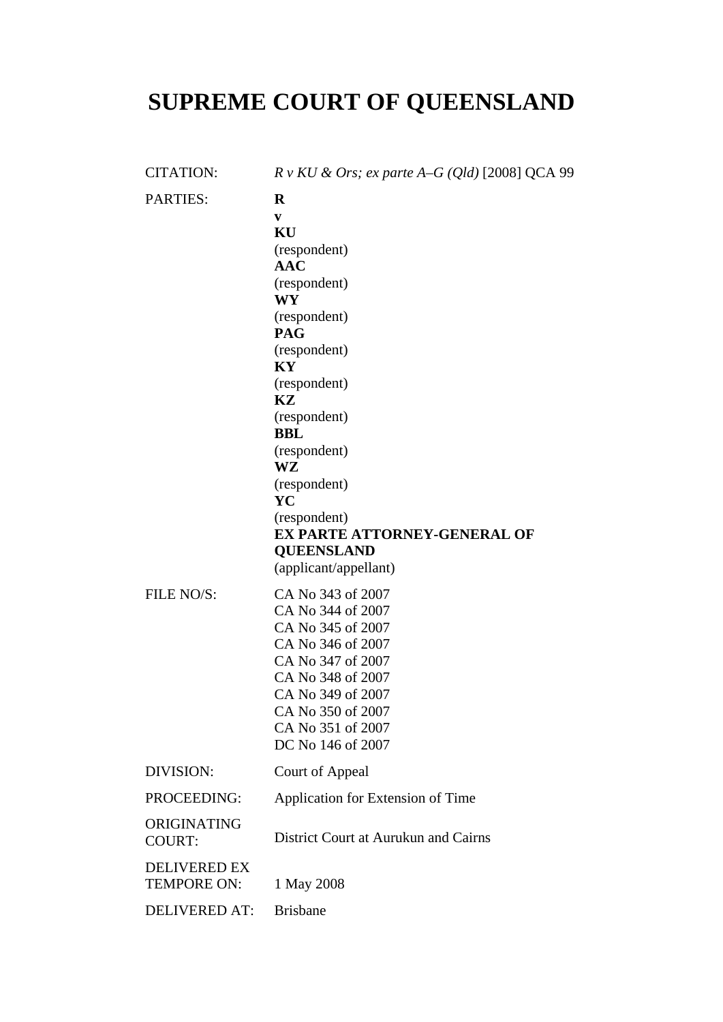## **SUPREME COURT OF QUEENSLAND**

| <b>CITATION:</b>                          | $R \, v \, KU \, \& \, Ors; \, ex \, parte \, A-G \, (Qld) \, [2008] \, QCA \, 99$                                                                                                                                                                                                                                        |
|-------------------------------------------|---------------------------------------------------------------------------------------------------------------------------------------------------------------------------------------------------------------------------------------------------------------------------------------------------------------------------|
| <b>PARTIES:</b>                           | $\bf{R}$<br>V<br>KU<br>(respondent)<br>$\bf{AAC}$<br>(respondent)<br>WY<br>(respondent)<br><b>PAG</b><br>(respondent)<br>KY<br>(respondent)<br>KZ<br>(respondent)<br><b>BBL</b><br>(respondent)<br>WZ<br>(respondent)<br>YC<br>(respondent)<br>EX PARTE ATTORNEY-GENERAL OF<br><b>QUEENSLAND</b><br>(applicant/appellant) |
| FILE NO/S:                                | CA No 343 of 2007<br>CA No 344 of 2007<br>CA No 345 of 2007<br>CA No 346 of 2007<br>CA No 347 of 2007<br>CA No 348 of 2007<br>CA No 349 of 2007<br>CA No 350 of 2007<br>CA No 351 of 2007<br>DC No 146 of 2007                                                                                                            |
| DIVISION:                                 | Court of Appeal                                                                                                                                                                                                                                                                                                           |
| PROCEEDING:                               | Application for Extension of Time                                                                                                                                                                                                                                                                                         |
| ORIGINATING<br><b>COURT:</b>              | District Court at Aurukun and Cairns                                                                                                                                                                                                                                                                                      |
| <b>DELIVERED EX</b><br><b>TEMPORE ON:</b> | 1 May 2008                                                                                                                                                                                                                                                                                                                |
| <b>DELIVERED AT:</b>                      | <b>Brisbane</b>                                                                                                                                                                                                                                                                                                           |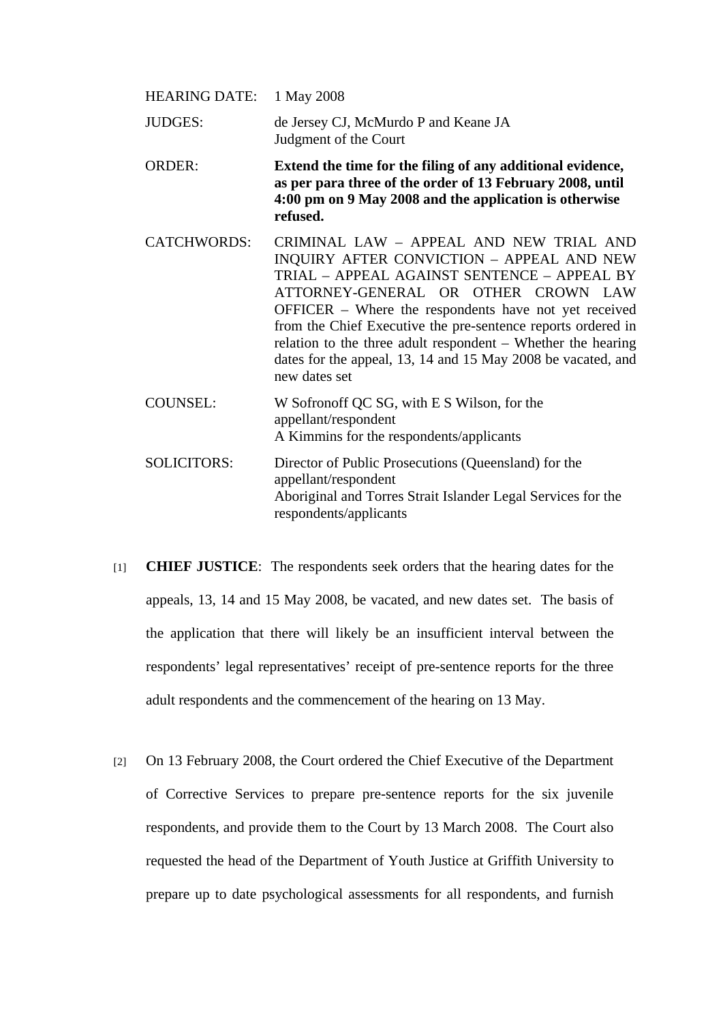| HEARING DATE:      | 1 May 2008                                                                                                                                                                                                                                                                                                                                                                                                                                           |
|--------------------|------------------------------------------------------------------------------------------------------------------------------------------------------------------------------------------------------------------------------------------------------------------------------------------------------------------------------------------------------------------------------------------------------------------------------------------------------|
| <b>JUDGES:</b>     | de Jersey CJ, McMurdo P and Keane JA<br>Judgment of the Court                                                                                                                                                                                                                                                                                                                                                                                        |
| <b>ORDER:</b>      | Extend the time for the filing of any additional evidence,<br>as per para three of the order of 13 February 2008, until<br>4:00 pm on 9 May 2008 and the application is otherwise<br>refused.                                                                                                                                                                                                                                                        |
| <b>CATCHWORDS:</b> | CRIMINAL LAW - APPEAL AND NEW TRIAL AND<br>INQUIRY AFTER CONVICTION - APPEAL AND NEW<br>TRIAL - APPEAL AGAINST SENTENCE - APPEAL BY<br>ATTORNEY-GENERAL OR OTHER CROWN LAW<br>OFFICER – Where the respondents have not yet received<br>from the Chief Executive the pre-sentence reports ordered in<br>relation to the three adult respondent – Whether the hearing<br>dates for the appeal, 13, 14 and 15 May 2008 be vacated, and<br>new dates set |
| <b>COUNSEL:</b>    | W Sofronoff QC SG, with E S Wilson, for the<br>appellant/respondent<br>A Kimmins for the respondents/applicants                                                                                                                                                                                                                                                                                                                                      |
| <b>SOLICITORS:</b> | Director of Public Prosecutions (Queensland) for the<br>appellant/respondent<br>Aboriginal and Torres Strait Islander Legal Services for the<br>respondents/applicants                                                                                                                                                                                                                                                                               |

- [1] **CHIEF JUSTICE**: The respondents seek orders that the hearing dates for the appeals, 13, 14 and 15 May 2008, be vacated, and new dates set. The basis of the application that there will likely be an insufficient interval between the respondents' legal representatives' receipt of pre-sentence reports for the three adult respondents and the commencement of the hearing on 13 May.
- [2] On 13 February 2008, the Court ordered the Chief Executive of the Department of Corrective Services to prepare pre-sentence reports for the six juvenile respondents, and provide them to the Court by 13 March 2008. The Court also requested the head of the Department of Youth Justice at Griffith University to prepare up to date psychological assessments for all respondents, and furnish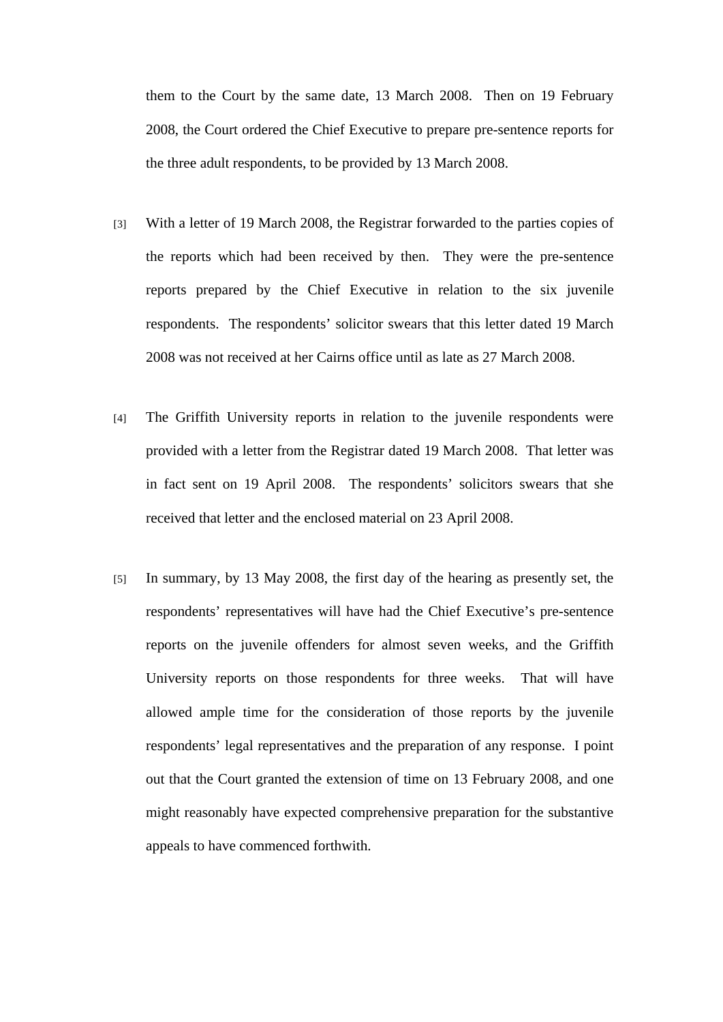them to the Court by the same date, 13 March 2008. Then on 19 February 2008, the Court ordered the Chief Executive to prepare pre-sentence reports for the three adult respondents, to be provided by 13 March 2008.

- [3] With a letter of 19 March 2008, the Registrar forwarded to the parties copies of the reports which had been received by then. They were the pre-sentence reports prepared by the Chief Executive in relation to the six juvenile respondents. The respondents' solicitor swears that this letter dated 19 March 2008 was not received at her Cairns office until as late as 27 March 2008.
- [4] The Griffith University reports in relation to the juvenile respondents were provided with a letter from the Registrar dated 19 March 2008. That letter was in fact sent on 19 April 2008. The respondents' solicitors swears that she received that letter and the enclosed material on 23 April 2008.
- [5] In summary, by 13 May 2008, the first day of the hearing as presently set, the respondents' representatives will have had the Chief Executive's pre-sentence reports on the juvenile offenders for almost seven weeks, and the Griffith University reports on those respondents for three weeks. That will have allowed ample time for the consideration of those reports by the juvenile respondents' legal representatives and the preparation of any response. I point out that the Court granted the extension of time on 13 February 2008, and one might reasonably have expected comprehensive preparation for the substantive appeals to have commenced forthwith.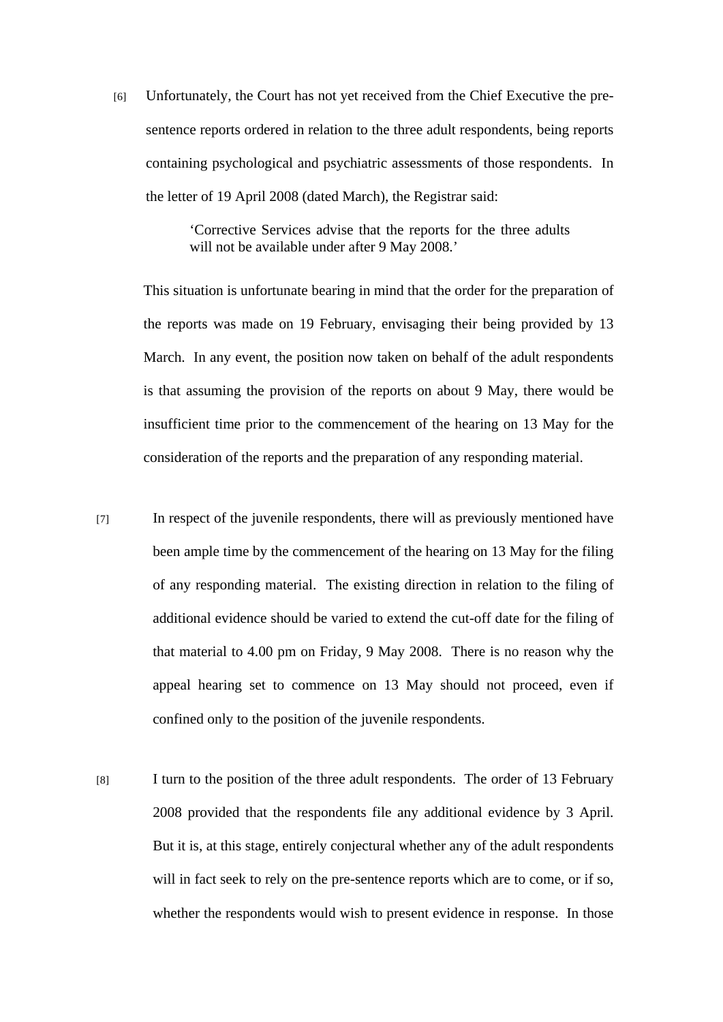[6] Unfortunately, the Court has not yet received from the Chief Executive the presentence reports ordered in relation to the three adult respondents, being reports containing psychological and psychiatric assessments of those respondents. In the letter of 19 April 2008 (dated March), the Registrar said:

> 'Corrective Services advise that the reports for the three adults will not be available under after 9 May 2008.'

This situation is unfortunate bearing in mind that the order for the preparation of the reports was made on 19 February, envisaging their being provided by 13 March. In any event, the position now taken on behalf of the adult respondents is that assuming the provision of the reports on about 9 May, there would be insufficient time prior to the commencement of the hearing on 13 May for the consideration of the reports and the preparation of any responding material.

- [7] In respect of the juvenile respondents, there will as previously mentioned have been ample time by the commencement of the hearing on 13 May for the filing of any responding material. The existing direction in relation to the filing of additional evidence should be varied to extend the cut-off date for the filing of that material to 4.00 pm on Friday, 9 May 2008. There is no reason why the appeal hearing set to commence on 13 May should not proceed, even if confined only to the position of the juvenile respondents.
- [8] I turn to the position of the three adult respondents. The order of 13 February 2008 provided that the respondents file any additional evidence by 3 April. But it is, at this stage, entirely conjectural whether any of the adult respondents will in fact seek to rely on the pre-sentence reports which are to come, or if so, whether the respondents would wish to present evidence in response. In those